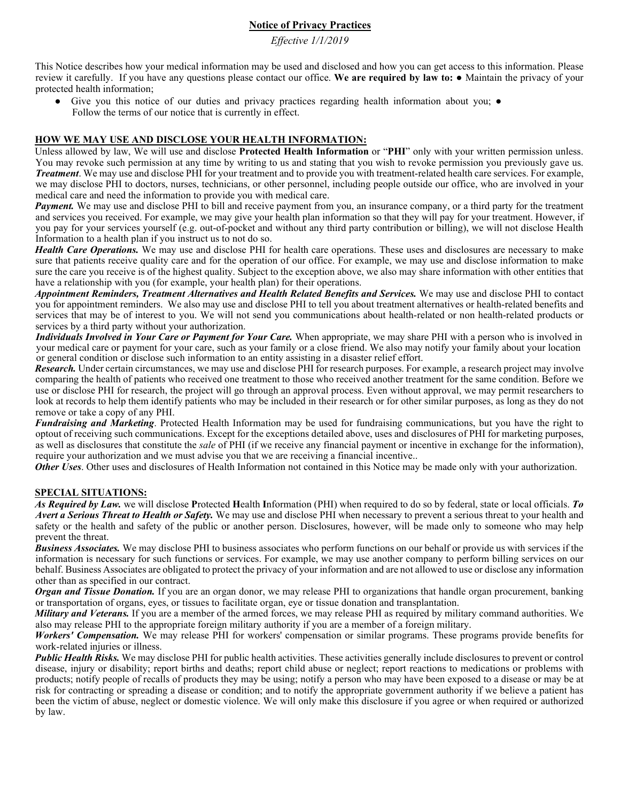# **Notice of Privacy Practices**

*Effective 1/1/2019*

This Notice describes how your medical information may be used and disclosed and how you can get access to this information. Please review it carefully. If you have any questions please contact our office. **We are required by law to:** ● Maintain the privacy of your protected health information;

Give you this notice of our duties and privacy practices regarding health information about you;  $\bullet$ Follow the terms of our notice that is currently in effect.

#### **HOW WE MAY USE AND DISCLOSE YOUR HEALTH INFORMATION:**

Unless allowed by law, We will use and disclose **Protected Health Information** or "**PHI**" only with your written permission unless. You may revoke such permission at any time by writing to us and stating that you wish to revoke permission you previously gave us. *Treatment*. We may use and disclose PHI for your treatment and to provide you with treatment-related health care services. For example, we may disclose PHI to doctors, nurses, technicians, or other personnel, including people outside our office, who are involved in your medical care and need the information to provide you with medical care.

*Payment.* We may use and disclose PHI to bill and receive payment from you, an insurance company, or a third party for the treatment and services you received. For example, we may give your health plan information so that they will pay for your treatment. However, if you pay for your services yourself (e.g. out-of-pocket and without any third party contribution or billing), we will not disclose Health Information to a health plan if you instruct us to not do so.

*Health Care Operations*. We may use and disclose PHI for health care operations. These uses and disclosures are necessary to make sure that patients receive quality care and for the operation of our office. For example, we may use and disclose information to make sure the care you receive is of the highest quality. Subject to the exception above, we also may share information with other entities that have a relationship with you (for example, your health plan) for their operations.

*Appointment Reminders, Treatment Alternatives and Health Related Benefits and Services.* We may use and disclose PHI to contact you for appointment reminders. We also may use and disclose PHI to tell you about treatment alternatives or health-related benefits and services that may be of interest to you. We will not send you communications about health-related or non health-related products or services by a third party without your authorization.

*Individuals Involved in Your Care or Payment for Your Care.* When appropriate, we may share PHI with a person who is involved in your medical care or payment for your care, such as your family or a close friend. We also may notify your family about your location or general condition or disclose such information to an entity assisting in a disaster relief effort.

*Research.* Under certain circumstances, we may use and disclose PHI for research purposes. For example, a research project may involve comparing the health of patients who received one treatment to those who received another treatment for the same condition. Before we use or disclose PHI for research, the project will go through an approval process. Even without approval, we may permit researchers to look at records to help them identify patients who may be included in their research or for other similar purposes, as long as they do not remove or take a copy of any PHI.

*Fundraising and Marketing*. Protected Health Information may be used for fundraising communications, but you have the right to optout of receiving such communications. Except for the exceptions detailed above, uses and disclosures of PHI for marketing purposes, as well as disclosures that constitute the *sale* of PHI (if we receive any financial payment or incentive in exchange for the information), require your authorization and we must advise you that we are receiving a financial incentive..

*Other Uses*. Other uses and disclosures of Health Information not contained in this Notice may be made only with your authorization.

### **SPECIAL SITUATIONS:**

*As Required by Law.* we will disclose **P**rotected **H**ealth **I**nformation (PHI) when required to do so by federal, state or local officials. *To Avert a Serious Threat to Health or Safety.* We may use and disclose PHI when necessary to prevent a serious threat to your health and safety or the health and safety of the public or another person. Disclosures, however, will be made only to someone who may help prevent the threat.

*Business Associates.* We may disclose PHI to business associates who perform functions on our behalf or provide us with services if the information is necessary for such functions or services. For example, we may use another company to perform billing services on our behalf. Business Associates are obligated to protect the privacy of your information and are not allowed to use or disclose any information other than as specified in our contract.

*Organ and Tissue Donation.* If you are an organ donor, we may release PHI to organizations that handle organ procurement, banking or transportation of organs, eyes, or tissues to facilitate organ, eye or tissue donation and transplantation.

*Military and Veterans.* If you are a member of the armed forces, we may release PHI as required by military command authorities. We also may release PHI to the appropriate foreign military authority if you are a member of a foreign military.

*Workers' Compensation.* We may release PHI for workers' compensation or similar programs. These programs provide benefits for work-related injuries or illness.

**Public Health Risks.** We may disclose PHI for public health activities. These activities generally include disclosures to prevent or control disease, injury or disability; report births and deaths; report child abuse or neglect; report reactions to medications or problems with products; notify people of recalls of products they may be using; notify a person who may have been exposed to a disease or may be at risk for contracting or spreading a disease or condition; and to notify the appropriate government authority if we believe a patient has been the victim of abuse, neglect or domestic violence. We will only make this disclosure if you agree or when required or authorized by law.